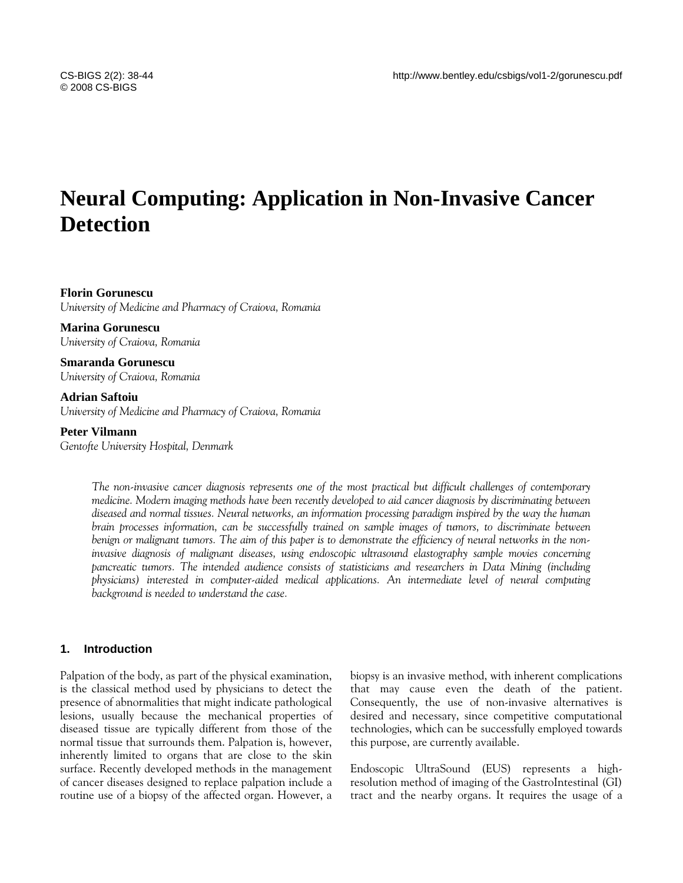# **Neural Computing: Application in Non-Invasive Cancer Detection**

### **Florin Gorunescu**

*University of Medicine and Pharmacy of Craiova, Romania* 

**Marina Gorunescu**  *University of Craiova, Romania* 

**Smaranda Gorunescu**  *University of Craiova, Romania* 

## **Adrian Saftoiu**

*University of Medicine and Pharmacy of Craiova, Romania* 

#### **Peter Vilmann**

*Gentofte University Hospital, Denmark*

*The non-invasive cancer diagnosis represents one of the most practical but difficult challenges of contemporary medicine. Modern imaging methods have been recently developed to aid cancer diagnosis by discriminating between diseased and normal tissues. Neural networks, an information processing paradigm inspired by the way the human brain processes information, can be successfully trained on sample images of tumors, to discriminate between benign or malignant tumors. The aim of this paper is to demonstrate the efficiency of neural networks in the noninvasive diagnosis of malignant diseases, using endoscopic ultrasound elastography sample movies concerning pancreatic tumors. The intended audience consists of statisticians and researchers in Data Mining (including physicians) interested in computer-aided medical applications. An intermediate level of neural computing background is needed to understand the case.* 

## **1. Introduction**

Palpation of the body, as part of the physical examination, is the classical method used by physicians to detect the presence of abnormalities that might indicate pathological lesions, usually because the mechanical properties of diseased tissue are typically different from those of the normal tissue that surrounds them. Palpation is, however, inherently limited to organs that are close to the skin surface. Recently developed methods in the management of cancer diseases designed to replace palpation include a routine use of a biopsy of the affected organ. However, a

biopsy is an invasive method, with inherent complications that may cause even the death of the patient. Consequently, the use of non-invasive alternatives is desired and necessary, since competitive computational technologies, which can be successfully employed towards this purpose, are currently available.

Endoscopic UltraSound (EUS) represents a highresolution method of imaging of the GastroIntestinal (GI) tract and the nearby organs. It requires the usage of a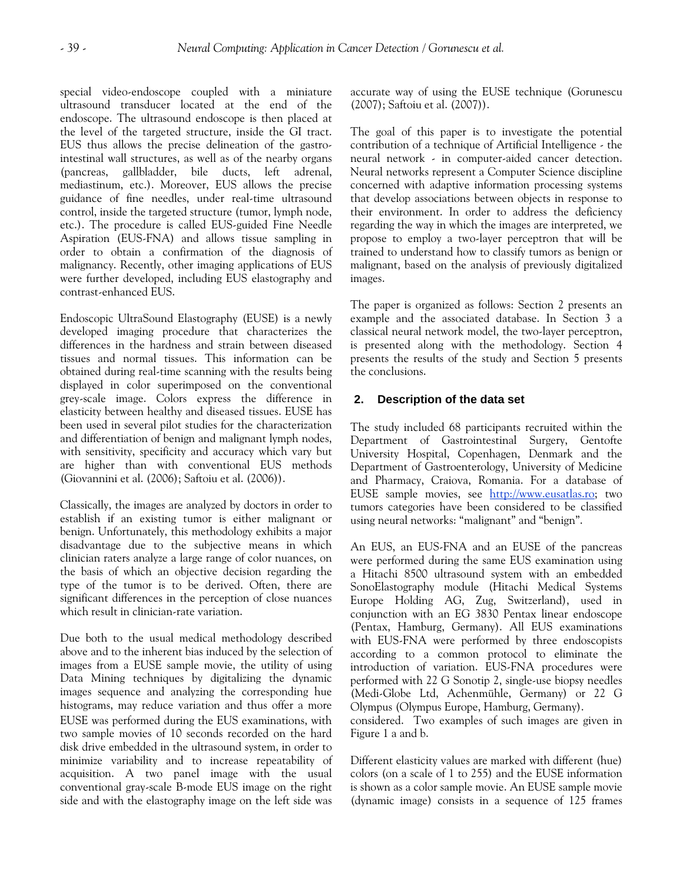special video-endoscope coupled with a miniature ultrasound transducer located at the end of the endoscope. The ultrasound endoscope is then placed at the level of the targeted structure, inside the GI tract. EUS thus allows the precise delineation of the gastrointestinal wall structures, as well as of the nearby organs (pancreas, gallbladder, bile ducts, left adrenal, mediastinum, etc.). Moreover, EUS allows the precise guidance of fine needles, under real-time ultrasound control, inside the targeted structure (tumor, lymph node, etc.). The procedure is called EUS-guided Fine Needle Aspiration (EUS-FNA) and allows tissue sampling in order to obtain a confirmation of the diagnosis of malignancy. Recently, other imaging applications of EUS were further developed, including EUS elastography and contrast-enhanced EUS.

Endoscopic UltraSound Elastography (EUSE) is a newly developed imaging procedure that characterizes the differences in the hardness and strain between diseased tissues and normal tissues. This information can be obtained during real-time scanning with the results being displayed in color superimposed on the conventional grey-scale image. Colors express the difference in elasticity between healthy and diseased tissues. EUSE has been used in several pilot studies for the characterization and differentiation of benign and malignant lymph nodes, with sensitivity, specificity and accuracy which vary but are higher than with conventional EUS methods (Giovannini et al. (2006); Saftoiu et al. (2006)).

Classically, the images are analyzed by doctors in order to establish if an existing tumor is either malignant or benign. Unfortunately, this methodology exhibits a major disadvantage due to the subjective means in which clinician raters analyze a large range of color nuances, on the basis of which an objective decision regarding the type of the tumor is to be derived. Often, there are significant differences in the perception of close nuances which result in clinician-rate variation.

Due both to the usual medical methodology described above and to the inherent bias induced by the selection of images from a EUSE sample movie, the utility of using Data Mining techniques by digitalizing the dynamic images sequence and analyzing the corresponding hue histograms, may reduce variation and thus offer a more EUSE was performed during the EUS examinations, with two sample movies of 10 seconds recorded on the hard disk drive embedded in the ultrasound system, in order to minimize variability and to increase repeatability of acquisition. A two panel image with the usual conventional gray-scale B-mode EUS image on the right side and with the elastography image on the left side was

accurate way of using the EUSE technique (Gorunescu (2007); Saftoiu et al. (2007)).

The goal of this paper is to investigate the potential contribution of a technique of Artificial Intelligence - the neural network - in computer-aided cancer detection. Neural networks represent a Computer Science discipline concerned with adaptive information processing systems that develop associations between objects in response to their environment. In order to address the deficiency regarding the way in which the images are interpreted, we propose to employ a two-layer perceptron that will be trained to understand how to classify tumors as benign or malignant, based on the analysis of previously digitalized images.

The paper is organized as follows: Section 2 presents an example and the associated database. In Section 3 a classical neural network model, the two-layer perceptron, is presented along with the methodology. Section 4 presents the results of the study and Section 5 presents the conclusions.

# **2. Description of the data set**

The study included 68 participants recruited within the Department of Gastrointestinal Surgery, Gentofte University Hospital, Copenhagen, Denmark and the Department of Gastroenterology, University of Medicine and Pharmacy, Craiova, Romania. For a database of EUSE sample movies, see [http://www.eusatlas.ro](http://www.eusatlas.ro/); two tumors categories have been considered to be classified using neural networks: "malignant" and "benign".

An EUS, an EUS-FNA and an EUSE of the pancreas were performed during the same EUS examination using a Hitachi 8500 ultrasound system with an embedded SonoElastography module (Hitachi Medical Systems Europe Holding AG, Zug, Switzerland), used in conjunction with an EG 3830 Pentax linear endoscope (Pentax, Hamburg, Germany). All EUS examinations with EUS-FNA were performed by three endoscopists according to a common protocol to eliminate the introduction of variation. EUS-FNA procedures were performed with 22 G Sonotip 2, single-use biopsy needles (Medi-Globe Ltd, Achenmühle, Germany) or 22 G Olympus (Olympus Europe, Hamburg, Germany).

considered. Two examples of such images are given in Figure 1 a and b.

Different elasticity values are marked with different (hue) colors (on a scale of 1 to 255) and the EUSE information is shown as a color sample movie. An EUSE sample movie (dynamic image) consists in a sequence of 125 frames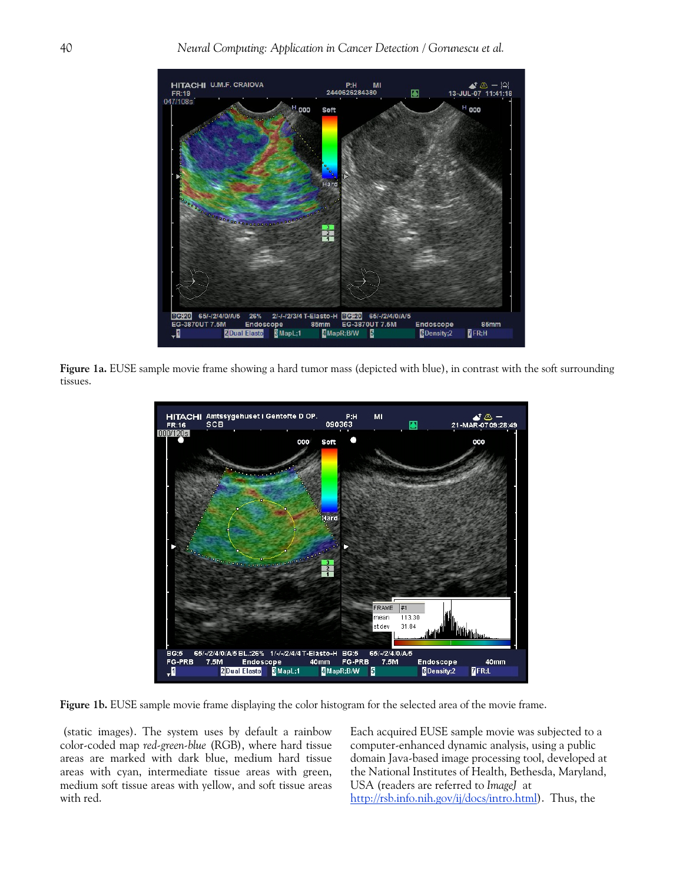

**Figure 1a.** EUSE sample movie frame showing a hard tumor mass (depicted with blue), in contrast with the soft surrounding tissues.



**Figure 1b.** EUSE sample movie frame displaying the color histogram for the selected area of the movie frame.

 (static images). The system uses by default a rainbow color-coded map *red-green-blue* (RGB), where hard tissue areas are marked with dark blue, medium hard tissue areas with cyan, intermediate tissue areas with green, medium soft tissue areas with yellow, and soft tissue areas with red.

Each acquired EUSE sample movie was subjected to a computer-enhanced dynamic analysis, using a public domain Java-based image processing tool, developed at the National Institutes of Health, Bethesda, Maryland, USA (readers are referred to *ImageJ* at [http://rsb.info.nih.gov/ij/docs/intro.html\)](http://rsb.info.nih.gov/ij/docs/intro.html). Thus, the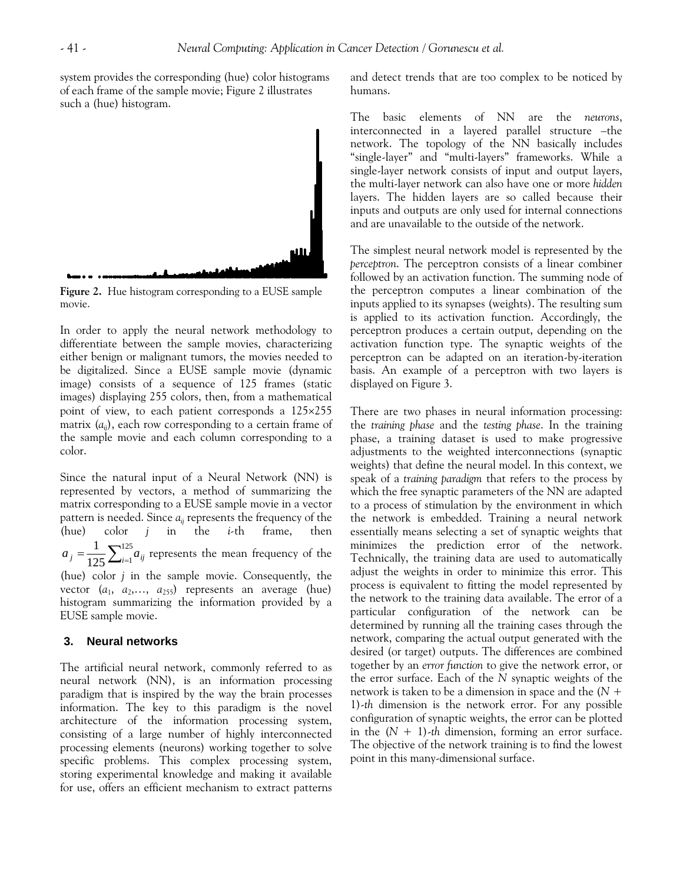system provides the corresponding (hue) color histograms of each frame of the sample movie; Figure 2 illustrates such a (hue) histogram.



**Figure 2.** Hue histogram corresponding to a EUSE sample movie.

In order to apply the neural network methodology to differentiate between the sample movies, characterizing either benign or malignant tumors, the movies needed to be digitalized. Since a EUSE sample movie (dynamic image) consists of a sequence of 125 frames (static images) displaying 255 colors, then, from a mathematical point of view, to each patient corresponds a 125×255 matrix  $(a_{ii})$ , each row corresponding to a certain frame of the sample movie and each column corresponding to a color.

Since the natural input of a Neural Network (NN) is represented by vectors, a method of summarizing the matrix corresponding to a EUSE sample movie in a vector pattern is needed. Since  $a_{ii}$  represents the frequency of the (hue) color *j* in the *i-*th frame, then  $=\frac{1}{125}\sum_{i=1}^{125}$  $a_j = \frac{1}{125} \sum_{i=1}^{125} a_{ij}$  represents the mean frequency of the (hue) color *j* in the sample movie. Consequently, the vector  $(a_1, a_2,..., a_{255})$  represents an average (hue) histogram summarizing the information provided by a EUSE sample movie.

#### **3. Neural networks**

The artificial neural network, commonly referred to as neural network (NN), is an information processing paradigm that is inspired by the way the brain processes information. The key to this paradigm is the novel architecture of the information processing system, consisting of a large number of highly interconnected processing elements (neurons) working together to solve specific problems. This complex processing system, storing experimental knowledge and making it available for use, offers an efficient mechanism to extract patterns

and detect trends that are too complex to be noticed by humans.

The basic elements of NN are the *neurons*, interconnected in a layered parallel structure –the network. The topology of the NN basically includes "single-layer" and "multi-layers" frameworks. While a single-layer network consists of input and output layers, the multi-layer network can also have one or more *hidden* layers. The hidden layers are so called because their inputs and outputs are only used for internal connections and are unavailable to the outside of the network.

The simplest neural network model is represented by the *perceptron*. The perceptron consists of a linear combiner followed by an activation function. The summing node of the perceptron computes a linear combination of the inputs applied to its synapses (weights). The resulting sum is applied to its activation function. Accordingly, the perceptron produces a certain output, depending on the activation function type. The synaptic weights of the perceptron can be adapted on an iteration-by-iteration basis. An example of a perceptron with two layers is displayed on Figure 3.

There are two phases in neural information processing: the *training phase* and the *testing phase*. In the training phase, a training dataset is used to make progressive adjustments to the weighted interconnections (synaptic weights) that define the neural model. In this context, we speak of a *training paradigm* that refers to the process by which the free synaptic parameters of the NN are adapted to a process of stimulation by the environment in which the network is embedded. Training a neural network essentially means selecting a set of synaptic weights that minimizes the prediction error of the network. Technically, the training data are used to automatically adjust the weights in order to minimize this error. This process is equivalent to fitting the model represented by the network to the training data available. The error of a particular configuration of the network can be determined by running all the training cases through the network, comparing the actual output generated with the desired (or target) outputs. The differences are combined together by an *error function* to give the network error, or the error surface. Each of the *N* synaptic weights of the network is taken to be a dimension in space and the (*N* + 1)-*th* dimension is the network error. For any possible configuration of synaptic weights, the error can be plotted in the  $(N + 1)$ -th dimension, forming an error surface. The objective of the network training is to find the lowest point in this many-dimensional surface.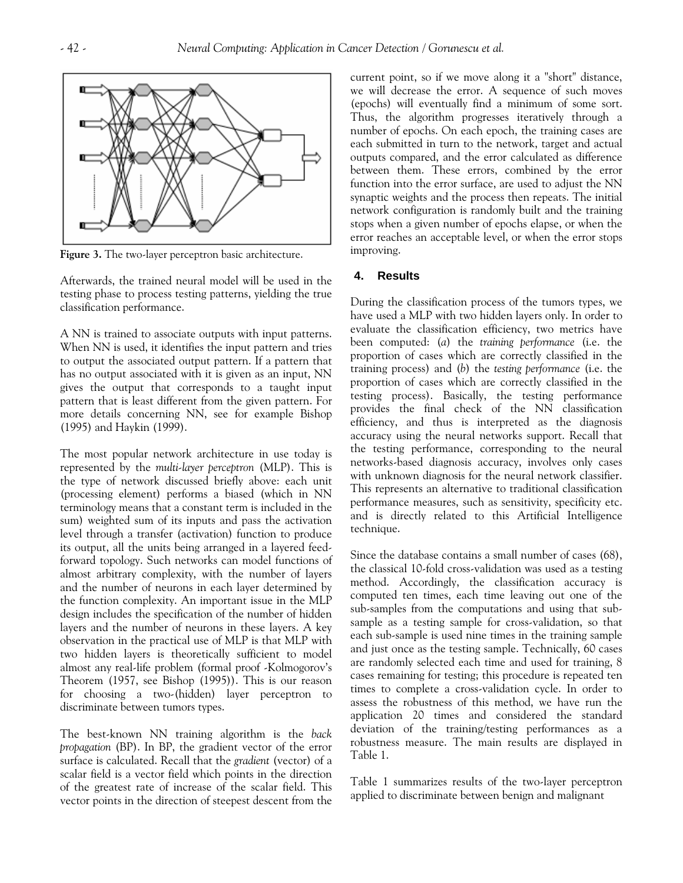

**Figure 3.** The two-layer perceptron basic architecture.

Afterwards, the trained neural model will be used in the testing phase to process testing patterns, yielding the true classification performance.

A NN is trained to associate outputs with input patterns. When NN is used, it identifies the input pattern and tries to output the associated output pattern. If a pattern that has no output associated with it is given as an input, NN gives the output that corresponds to a taught input pattern that is least different from the given pattern. For more details concerning NN, see for example Bishop (1995) and Haykin (1999).

The most popular network architecture in use today is represented by the *multi-layer perceptron* (MLP). This is the type of network discussed briefly above: each unit (processing element) performs a biased (which in NN terminology means that a constant term is included in the sum) weighted sum of its inputs and pass the activation level through a transfer (activation) function to produce its output, all the units being arranged in a layered feedforward topology. Such networks can model functions of almost arbitrary complexity, with the number of layers and the number of neurons in each layer determined by the function complexity. An important issue in the MLP design includes the specification of the number of hidden layers and the number of neurons in these layers. A key observation in the practical use of MLP is that MLP with two hidden layers is theoretically sufficient to model almost any real-life problem (formal proof -Kolmogorov's Theorem (1957, see Bishop (1995)). This is our reason for choosing a two-(hidden) layer perceptron to discriminate between tumors types.

The best-known NN training algorithm is the *back propagation* (BP). In BP, the gradient vector of the error surface is calculated. Recall that the *gradient* (vector) of a scalar field is a vector field which points in the direction of the greatest rate of increase of the scalar field. This vector points in the direction of steepest descent from the

current point, so if we move along it a "short" distance, we will decrease the error. A sequence of such moves (epochs) will eventually find a minimum of some sort. Thus, the algorithm progresses iteratively through a number of epochs. On each epoch, the training cases are each submitted in turn to the network, target and actual outputs compared, and the error calculated as difference between them. These errors, combined by the error function into the error surface, are used to adjust the NN synaptic weights and the process then repeats. The initial network configuration is randomly built and the training stops when a given number of epochs elapse, or when the error reaches an acceptable level, or when the error stops improving.

## **4. Results**

During the classification process of the tumors types, we have used a MLP with two hidden layers only. In order to evaluate the classification efficiency, two metrics have been computed: (*a*) the *training performance* (i.e. the proportion of cases which are correctly classified in the training process) and (*b*) the *testing performance* (i.e. the proportion of cases which are correctly classified in the testing process). Basically, the testing performance provides the final check of the NN classification efficiency, and thus is interpreted as the diagnosis accuracy using the neural networks support. Recall that the testing performance, corresponding to the neural networks-based diagnosis accuracy, involves only cases with unknown diagnosis for the neural network classifier. This represents an alternative to traditional classification performance measures, such as sensitivity, specificity etc. and is directly related to this Artificial Intelligence technique.

Since the database contains a small number of cases (68), the classical 10-fold cross-validation was used as a testing method. Accordingly, the classification accuracy is computed ten times, each time leaving out one of the sub-samples from the computations and using that subsample as a testing sample for cross-validation, so that each sub-sample is used nine times in the training sample and just once as the testing sample. Technically, 60 cases are randomly selected each time and used for training, 8 cases remaining for testing; this procedure is repeated ten times to complete a cross-validation cycle. In order to assess the robustness of this method, we have run the application 20 times and considered the standard deviation of the training/testing performances as a robustness measure. The main results are displayed in Table 1.

Table 1 summarizes results of the two-layer perceptron applied to discriminate between benign and malignant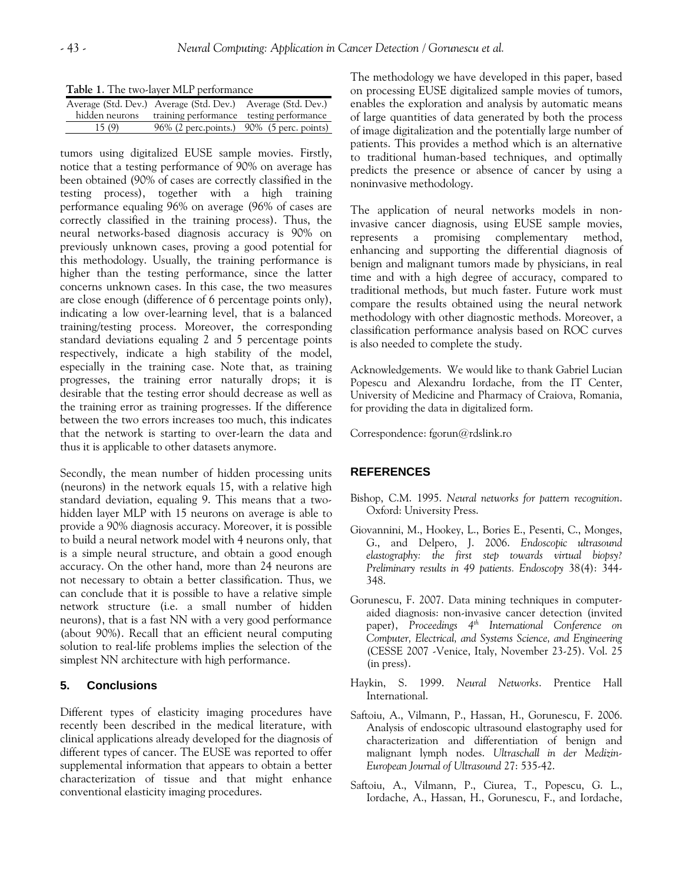**Table 1**. The two-layer MLP performance

| <b>There</b> If the two layer man performance |                                                             |                                           |
|-----------------------------------------------|-------------------------------------------------------------|-------------------------------------------|
|                                               | Average (Std. Dev.) Average (Std. Dev.) Average (Std. Dev.) |                                           |
| hidden neurons                                | training performance testing performance                    |                                           |
| 15(9)                                         |                                                             | 96% (2 perc.points.) 90% (5 perc. points) |
|                                               |                                                             |                                           |

tumors using digitalized EUSE sample movies. Firstly, notice that a testing performance of 90% on average has been obtained (90% of cases are correctly classified in the testing process), together with a high training performance equaling 96% on average (96% of cases are correctly classified in the training process). Thus, the neural networks-based diagnosis accuracy is 90% on previously unknown cases, proving a good potential for this methodology. Usually, the training performance is higher than the testing performance, since the latter concerns unknown cases. In this case, the two measures are close enough (difference of 6 percentage points only), indicating a low over-learning level, that is a balanced training/testing process. Moreover, the corresponding standard deviations equaling 2 and 5 percentage points respectively, indicate a high stability of the model, especially in the training case. Note that, as training progresses, the training error naturally drops; it is desirable that the testing error should decrease as well as the training error as training progresses. If the difference between the two errors increases too much, this indicates that the network is starting to over-learn the data and thus it is applicable to other datasets anymore.

Secondly, the mean number of hidden processing units (neurons) in the network equals 15, with a relative high standard deviation, equaling 9. This means that a twohidden layer MLP with 15 neurons on average is able to provide a 90% diagnosis accuracy. Moreover, it is possible to build a neural network model with 4 neurons only, that is a simple neural structure, and obtain a good enough accuracy. On the other hand, more than 24 neurons are not necessary to obtain a better classification. Thus, we can conclude that it is possible to have a relative simple network structure (i.e. a small number of hidden neurons), that is a fast NN with a very good performance (about 90%). Recall that an efficient neural computing solution to real-life problems implies the selection of the simplest NN architecture with high performance.

# **5. Conclusions**

Different types of elasticity imaging procedures have recently been described in the medical literature, with clinical applications already developed for the diagnosis of different types of cancer. The EUSE was reported to offer supplemental information that appears to obtain a better characterization of tissue and that might enhance conventional elasticity imaging procedures.

The methodology we have developed in this paper, based on processing EUSE digitalized sample movies of tumors, enables the exploration and analysis by automatic means of large quantities of data generated by both the process of image digitalization and the potentially large number of patients. This provides a method which is an alternative to traditional human-based techniques, and optimally predicts the presence or absence of cancer by using a noninvasive methodology.

The application of neural networks models in noninvasive cancer diagnosis, using EUSE sample movies, represents a promising complementary method, enhancing and supporting the differential diagnosis of benign and malignant tumors made by physicians, in real time and with a high degree of accuracy, compared to traditional methods, but much faster. Future work must compare the results obtained using the neural network methodology with other diagnostic methods. Moreover, a classification performance analysis based on ROC curves is also needed to complete the study.

Acknowledgements. We would like to thank Gabriel Lucian Popescu and Alexandru Iordache, from the IT Center, University of Medicine and Pharmacy of Craiova, Romania, for providing the data in digitalized form.

Correspondence: fgorun@rdslink.ro

# **REFERENCES**

- Bishop, C.M. 1995. *Neural networks for pattern recognition*. Oxford: University Press.
- Giovannini, M., Hookey, L., Bories E., Pesenti, C., Monges, G., and Delpero, J. 2006. *Endoscopic ultrasound elastography: the first step towards virtual biopsy? Preliminary results in 49 patients. Endoscopy* 38(4): 344- 348.
- Gorunescu, F. 2007. Data mining techniques in computeraided diagnosis: non-invasive cancer detection (invited paper), Proceedings 4<sup>th</sup> International Conference on *Computer, Electrical, and Systems Science, and Engineering* (CESSE 2007 -Venice, Italy, November 23-25). Vol. 25 (in press).
- Haykin, S. 1999. *Neural Networks*. Prentice Hall International.
- Saftoiu, A., Vilmann, P., Hassan, H., Gorunescu, F. 2006. Analysis of endoscopic ultrasound elastography used for characterization and differentiation of benign and malignant lymph nodes. *Ultraschall in der Medizin-European Journal of Ultrasound* 27: 535-42.
- Saftoiu, A., Vilmann, P., Ciurea, T., Popescu, G. L., Iordache, A., Hassan, H., Gorunescu, F., and Iordache,